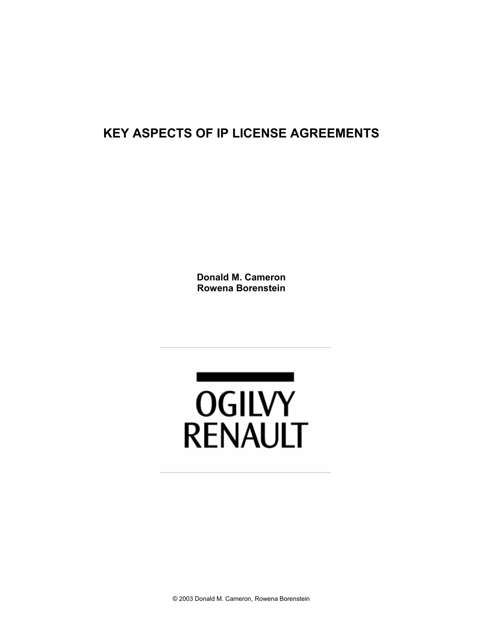# **KEY ASPECTS OF IP LICENSE AGREEMENTS**

**Donald M. Cameron Rowena Borenstein** 

<u> 1980 - Andrea Stadt Brande</u> **OGILVY RENAULT**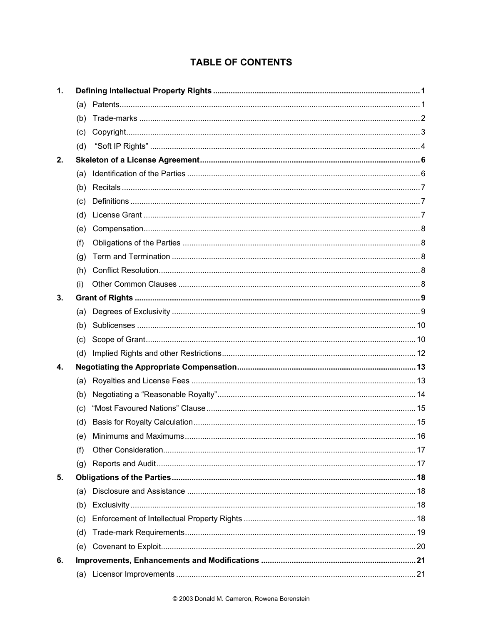# **TABLE OF CONTENTS**

| 1. |     |  |  |  |  |
|----|-----|--|--|--|--|
|    |     |  |  |  |  |
|    | (b) |  |  |  |  |
|    | (c) |  |  |  |  |
|    | (d) |  |  |  |  |
| 2. |     |  |  |  |  |
|    | (a) |  |  |  |  |
|    | (b) |  |  |  |  |
|    | (c) |  |  |  |  |
|    | (d) |  |  |  |  |
|    | (e) |  |  |  |  |
|    | (f) |  |  |  |  |
|    | (g) |  |  |  |  |
|    | (h) |  |  |  |  |
|    | (i) |  |  |  |  |
| 3. |     |  |  |  |  |
|    | (a) |  |  |  |  |
|    | (b) |  |  |  |  |
|    | (c) |  |  |  |  |
|    | (d) |  |  |  |  |
| 4. |     |  |  |  |  |
|    | (a) |  |  |  |  |
|    | (b) |  |  |  |  |
|    | (c) |  |  |  |  |
|    | (d) |  |  |  |  |
|    | (e) |  |  |  |  |
|    | (f) |  |  |  |  |
|    | (g) |  |  |  |  |
| 5. |     |  |  |  |  |
|    | (a) |  |  |  |  |
|    | (b) |  |  |  |  |
|    | (c) |  |  |  |  |
|    | (d) |  |  |  |  |
|    | (e) |  |  |  |  |
| 6. |     |  |  |  |  |
|    |     |  |  |  |  |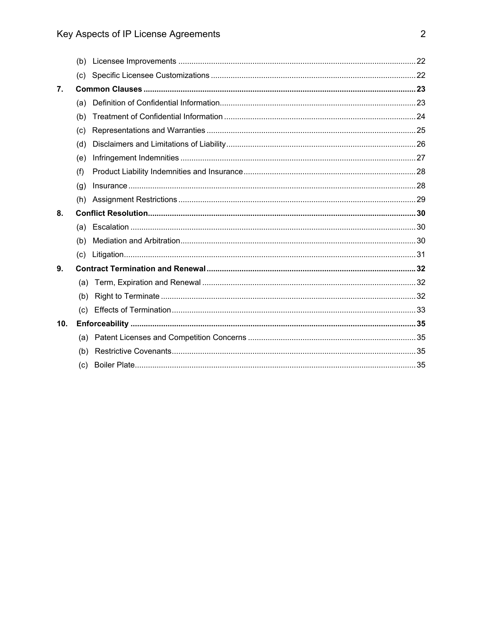|                | (c) |  |  |  |
|----------------|-----|--|--|--|
| 7 <sub>1</sub> |     |  |  |  |
|                | (a) |  |  |  |
|                | (b) |  |  |  |
|                | (c) |  |  |  |
|                | (d) |  |  |  |
|                | (e) |  |  |  |
|                | (f) |  |  |  |
|                | (q) |  |  |  |
|                | (h) |  |  |  |
| 8.             |     |  |  |  |
|                | (a) |  |  |  |
|                | (b) |  |  |  |
|                | (c) |  |  |  |
| 9.             |     |  |  |  |
|                | (a) |  |  |  |
|                | (b) |  |  |  |
|                | (C) |  |  |  |
| 10.            |     |  |  |  |
|                | (a) |  |  |  |
|                | (b) |  |  |  |
|                | (c) |  |  |  |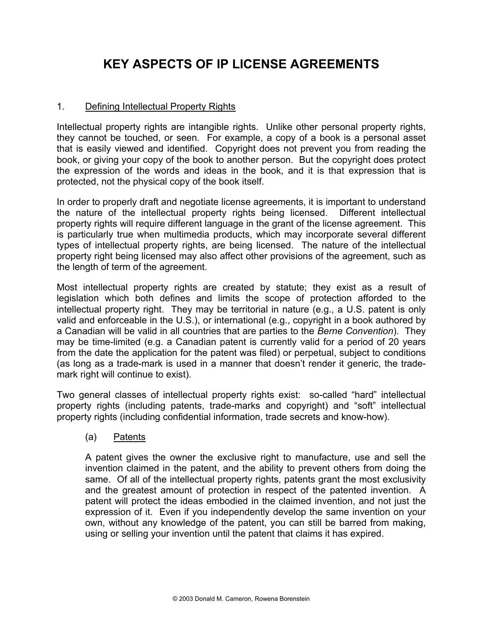# **KEY ASPECTS OF IP LICENSE AGREEMENTS**

## 1. Defining Intellectual Property Rights

Intellectual property rights are intangible rights. Unlike other personal property rights, they cannot be touched, or seen. For example, a copy of a book is a personal asset that is easily viewed and identified. Copyright does not prevent you from reading the book, or giving your copy of the book to another person. But the copyright does protect the expression of the words and ideas in the book, and it is that expression that is protected, not the physical copy of the book itself.

In order to properly draft and negotiate license agreements, it is important to understand the nature of the intellectual property rights being licensed. Different intellectual property rights will require different language in the grant of the license agreement. This is particularly true when multimedia products, which may incorporate several different types of intellectual property rights, are being licensed. The nature of the intellectual property right being licensed may also affect other provisions of the agreement, such as the length of term of the agreement.

Most intellectual property rights are created by statute; they exist as a result of legislation which both defines and limits the scope of protection afforded to the intellectual property right. They may be territorial in nature (e.g., a U.S. patent is only valid and enforceable in the U.S.), or international (e.g., copyright in a book authored by a Canadian will be valid in all countries that are parties to the *Berne Convention*). They may be time-limited (e.g. a Canadian patent is currently valid for a period of 20 years from the date the application for the patent was filed) or perpetual, subject to conditions (as long as a trade-mark is used in a manner that doesn't render it generic, the trademark right will continue to exist).

Two general classes of intellectual property rights exist: so-called "hard" intellectual property rights (including patents, trade-marks and copyright) and "soft" intellectual property rights (including confidential information, trade secrets and know-how).

## (a) Patents

 A patent gives the owner the exclusive right to manufacture, use and sell the invention claimed in the patent, and the ability to prevent others from doing the same. Of all of the intellectual property rights, patents grant the most exclusivity and the greatest amount of protection in respect of the patented invention. A patent will protect the ideas embodied in the claimed invention, and not just the expression of it. Even if you independently develop the same invention on your own, without any knowledge of the patent, you can still be barred from making, using or selling your invention until the patent that claims it has expired.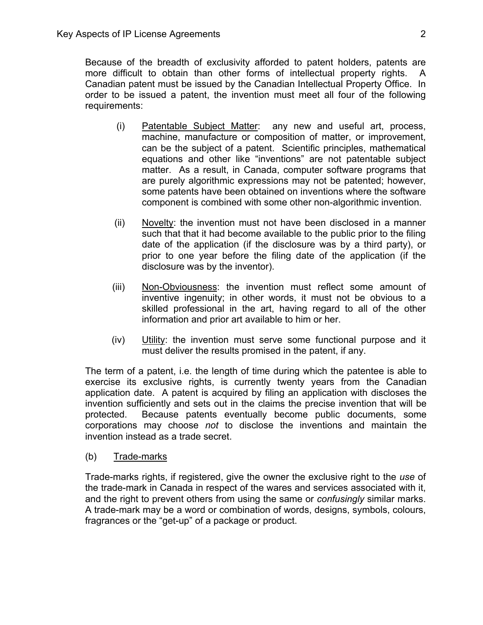Because of the breadth of exclusivity afforded to patent holders, patents are more difficult to obtain than other forms of intellectual property rights. A Canadian patent must be issued by the Canadian Intellectual Property Office. In order to be issued a patent, the invention must meet all four of the following requirements:

- (i) Patentable Subject Matter: any new and useful art, process, machine, manufacture or composition of matter, or improvement, can be the subject of a patent. Scientific principles, mathematical equations and other like "inventions" are not patentable subject matter. As a result, in Canada, computer software programs that are purely algorithmic expressions may not be patented; however, some patents have been obtained on inventions where the software component is combined with some other non-algorithmic invention.
- (ii) Novelty: the invention must not have been disclosed in a manner such that that it had become available to the public prior to the filing date of the application (if the disclosure was by a third party), or prior to one year before the filing date of the application (if the disclosure was by the inventor).
- (iii) Non-Obviousness: the invention must reflect some amount of inventive ingenuity; in other words, it must not be obvious to a skilled professional in the art, having regard to all of the other information and prior art available to him or her.
- (iv) Utility: the invention must serve some functional purpose and it must deliver the results promised in the patent, if any.

The term of a patent, i.e. the length of time during which the patentee is able to exercise its exclusive rights, is currently twenty years from the Canadian application date. A patent is acquired by filing an application with discloses the invention sufficiently and sets out in the claims the precise invention that will be protected. Because patents eventually become public documents, some corporations may choose *not* to disclose the inventions and maintain the invention instead as a trade secret.

(b) Trade-marks

Trade-marks rights, if registered, give the owner the exclusive right to the *use* of the trade-mark in Canada in respect of the wares and services associated with it, and the right to prevent others from using the same or *confusingly* similar marks. A trade-mark may be a word or combination of words, designs, symbols, colours, fragrances or the "get-up" of a package or product.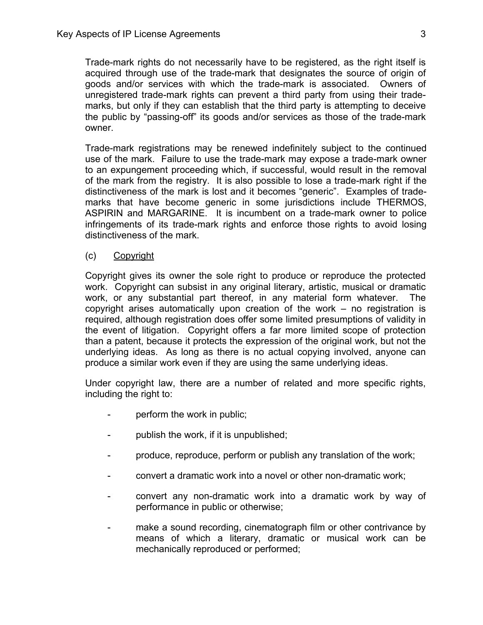Trade-mark rights do not necessarily have to be registered, as the right itself is acquired through use of the trade-mark that designates the source of origin of goods and/or services with which the trade-mark is associated. Owners of unregistered trade-mark rights can prevent a third party from using their trademarks, but only if they can establish that the third party is attempting to deceive the public by "passing-off" its goods and/or services as those of the trade-mark owner.

Trade-mark registrations may be renewed indefinitely subject to the continued use of the mark. Failure to use the trade-mark may expose a trade-mark owner to an expungement proceeding which, if successful, would result in the removal of the mark from the registry. It is also possible to lose a trade-mark right if the distinctiveness of the mark is lost and it becomes "generic". Examples of trademarks that have become generic in some jurisdictions include THERMOS, ASPIRIN and MARGARINE. It is incumbent on a trade-mark owner to police infringements of its trade-mark rights and enforce those rights to avoid losing distinctiveness of the mark.

(c) Copyright

Copyright gives its owner the sole right to produce or reproduce the protected work. Copyright can subsist in any original literary, artistic, musical or dramatic work, or any substantial part thereof, in any material form whatever. The copyright arises automatically upon creation of the work – no registration is required, although registration does offer some limited presumptions of validity in the event of litigation. Copyright offers a far more limited scope of protection than a patent, because it protects the expression of the original work, but not the underlying ideas. As long as there is no actual copying involved, anyone can produce a similar work even if they are using the same underlying ideas.

Under copyright law, there are a number of related and more specific rights, including the right to:

- perform the work in public;
- publish the work, if it is unpublished;
- produce, reproduce, perform or publish any translation of the work;
- convert a dramatic work into a novel or other non-dramatic work;
- convert any non-dramatic work into a dramatic work by way of performance in public or otherwise;
- make a sound recording, cinematograph film or other contrivance by means of which a literary, dramatic or musical work can be mechanically reproduced or performed;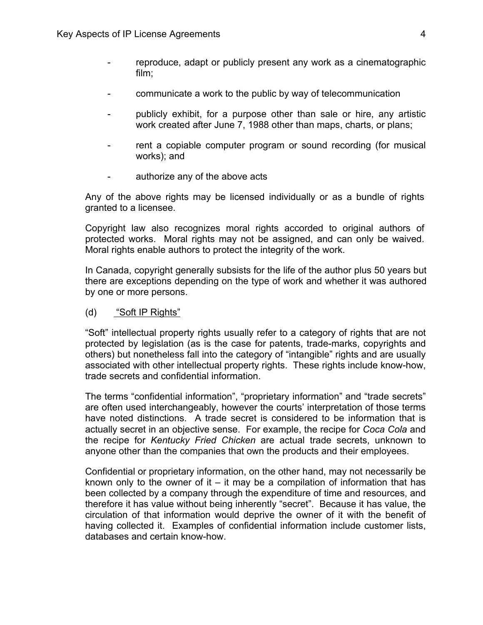- reproduce, adapt or publicly present any work as a cinematographic film;
- communicate a work to the public by way of telecommunication
- publicly exhibit, for a purpose other than sale or hire, any artistic work created after June 7, 1988 other than maps, charts, or plans;
- rent a copiable computer program or sound recording (for musical works); and
- authorize any of the above acts

Any of the above rights may be licensed individually or as a bundle of rights granted to a licensee.

Copyright law also recognizes moral rights accorded to original authors of protected works. Moral rights may not be assigned, and can only be waived. Moral rights enable authors to protect the integrity of the work.

In Canada, copyright generally subsists for the life of the author plus 50 years but there are exceptions depending on the type of work and whether it was authored by one or more persons.

(d) "Soft IP Rights"

"Soft" intellectual property rights usually refer to a category of rights that are not protected by legislation (as is the case for patents, trade-marks, copyrights and others) but nonetheless fall into the category of "intangible" rights and are usually associated with other intellectual property rights. These rights include know-how, trade secrets and confidential information.

The terms "confidential information", "proprietary information" and "trade secrets" are often used interchangeably, however the courts' interpretation of those terms have noted distinctions. A trade secret is considered to be information that is actually secret in an objective sense. For example, the recipe for *Coca Cola* and the recipe for *Kentucky Fried Chicken* are actual trade secrets, unknown to anyone other than the companies that own the products and their employees.

Confidential or proprietary information, on the other hand, may not necessarily be known only to the owner of it – it may be a compilation of information that has been collected by a company through the expenditure of time and resources, and therefore it has value without being inherently "secret". Because it has value, the circulation of that information would deprive the owner of it with the benefit of having collected it. Examples of confidential information include customer lists, databases and certain know-how.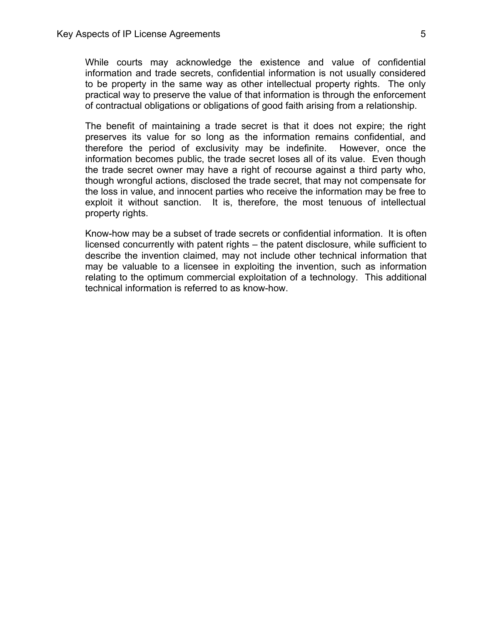While courts may acknowledge the existence and value of confidential information and trade secrets, confidential information is not usually considered to be property in the same way as other intellectual property rights. The only practical way to preserve the value of that information is through the enforcement of contractual obligations or obligations of good faith arising from a relationship.

The benefit of maintaining a trade secret is that it does not expire; the right preserves its value for so long as the information remains confidential, and therefore the period of exclusivity may be indefinite. However, once the information becomes public, the trade secret loses all of its value. Even though the trade secret owner may have a right of recourse against a third party who, though wrongful actions, disclosed the trade secret, that may not compensate for the loss in value, and innocent parties who receive the information may be free to exploit it without sanction. It is, therefore, the most tenuous of intellectual property rights.

Know-how may be a subset of trade secrets or confidential information. It is often licensed concurrently with patent rights – the patent disclosure, while sufficient to describe the invention claimed, may not include other technical information that may be valuable to a licensee in exploiting the invention, such as information relating to the optimum commercial exploitation of a technology. This additional technical information is referred to as know-how.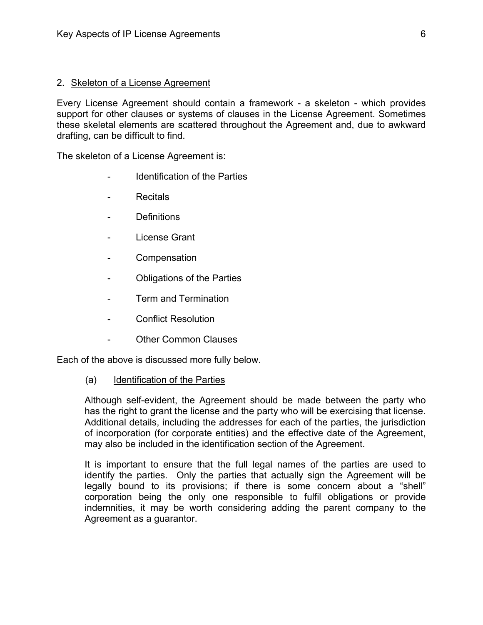#### 2. Skeleton of a License Agreement

Every License Agreement should contain a framework - a skeleton - which provides support for other clauses or systems of clauses in the License Agreement. Sometimes these skeletal elements are scattered throughout the Agreement and, due to awkward drafting, can be difficult to find.

The skeleton of a License Agreement is:

- Identification of the Parties
- Recitals
- Definitions
- License Grant
- **Compensation**
- Obligations of the Parties
- Term and Termination
- Conflict Resolution
- **Other Common Clauses**

Each of the above is discussed more fully below.

(a) Identification of the Parties

Although self-evident, the Agreement should be made between the party who has the right to grant the license and the party who will be exercising that license. Additional details, including the addresses for each of the parties, the jurisdiction of incorporation (for corporate entities) and the effective date of the Agreement, may also be included in the identification section of the Agreement.

It is important to ensure that the full legal names of the parties are used to identify the parties. Only the parties that actually sign the Agreement will be legally bound to its provisions; if there is some concern about a "shell" corporation being the only one responsible to fulfil obligations or provide indemnities, it may be worth considering adding the parent company to the Agreement as a guarantor.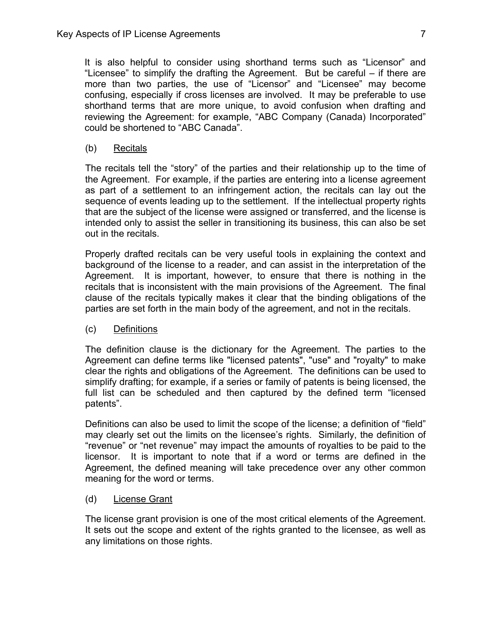It is also helpful to consider using shorthand terms such as "Licensor" and "Licensee" to simplify the drafting the Agreement. But be careful – if there are more than two parties, the use of "Licensor" and "Licensee" may become confusing, especially if cross licenses are involved. It may be preferable to use shorthand terms that are more unique, to avoid confusion when drafting and reviewing the Agreement: for example, "ABC Company (Canada) Incorporated" could be shortened to "ABC Canada".

(b) Recitals

The recitals tell the "story" of the parties and their relationship up to the time of the Agreement. For example, if the parties are entering into a license agreement as part of a settlement to an infringement action, the recitals can lay out the sequence of events leading up to the settlement. If the intellectual property rights that are the subject of the license were assigned or transferred, and the license is intended only to assist the seller in transitioning its business, this can also be set out in the recitals.

Properly drafted recitals can be very useful tools in explaining the context and background of the license to a reader, and can assist in the interpretation of the Agreement. It is important, however, to ensure that there is nothing in the recitals that is inconsistent with the main provisions of the Agreement. The final clause of the recitals typically makes it clear that the binding obligations of the parties are set forth in the main body of the agreement, and not in the recitals.

(c) Definitions

The definition clause is the dictionary for the Agreement. The parties to the Agreement can define terms like "licensed patents", "use" and "royalty" to make clear the rights and obligations of the Agreement. The definitions can be used to simplify drafting; for example, if a series or family of patents is being licensed, the full list can be scheduled and then captured by the defined term "licensed patents".

Definitions can also be used to limit the scope of the license; a definition of "field" may clearly set out the limits on the licensee's rights. Similarly, the definition of "revenue" or "net revenue" may impact the amounts of royalties to be paid to the licensor. It is important to note that if a word or terms are defined in the Agreement, the defined meaning will take precedence over any other common meaning for the word or terms.

(d) License Grant

The license grant provision is one of the most critical elements of the Agreement. It sets out the scope and extent of the rights granted to the licensee, as well as any limitations on those rights.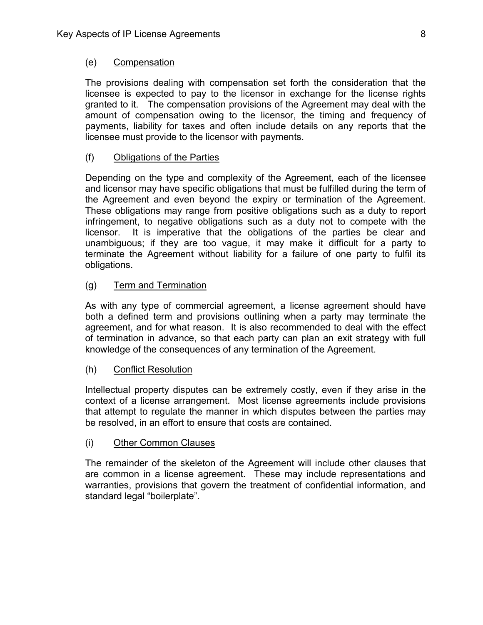## (e) Compensation

The provisions dealing with compensation set forth the consideration that the licensee is expected to pay to the licensor in exchange for the license rights granted to it. The compensation provisions of the Agreement may deal with the amount of compensation owing to the licensor, the timing and frequency of payments, liability for taxes and often include details on any reports that the licensee must provide to the licensor with payments.

## (f) Obligations of the Parties

Depending on the type and complexity of the Agreement, each of the licensee and licensor may have specific obligations that must be fulfilled during the term of the Agreement and even beyond the expiry or termination of the Agreement. These obligations may range from positive obligations such as a duty to report infringement, to negative obligations such as a duty not to compete with the licensor. It is imperative that the obligations of the parties be clear and unambiguous; if they are too vague, it may make it difficult for a party to terminate the Agreement without liability for a failure of one party to fulfil its obligations.

# (g) Term and Termination

As with any type of commercial agreement, a license agreement should have both a defined term and provisions outlining when a party may terminate the agreement, and for what reason. It is also recommended to deal with the effect of termination in advance, so that each party can plan an exit strategy with full knowledge of the consequences of any termination of the Agreement.

## (h) Conflict Resolution

Intellectual property disputes can be extremely costly, even if they arise in the context of a license arrangement. Most license agreements include provisions that attempt to regulate the manner in which disputes between the parties may be resolved, in an effort to ensure that costs are contained.

## (i) Other Common Clauses

The remainder of the skeleton of the Agreement will include other clauses that are common in a license agreement. These may include representations and warranties, provisions that govern the treatment of confidential information, and standard legal "boilerplate".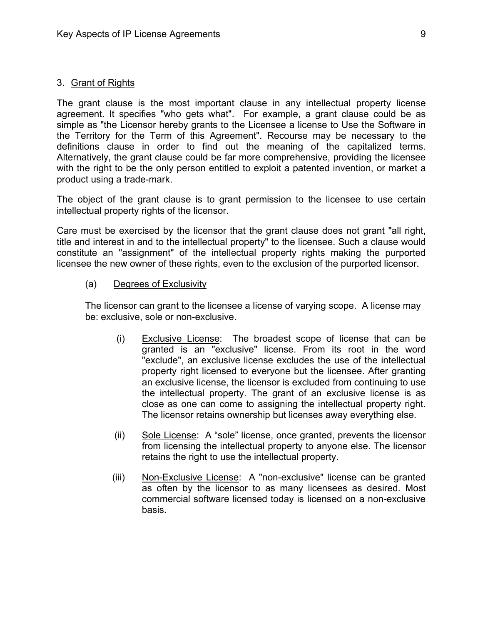#### 3. Grant of Rights

The grant clause is the most important clause in any intellectual property license agreement. It specifies "who gets what". For example, a grant clause could be as simple as "the Licensor hereby grants to the Licensee a license to Use the Software in the Territory for the Term of this Agreement". Recourse may be necessary to the definitions clause in order to find out the meaning of the capitalized terms. Alternatively, the grant clause could be far more comprehensive, providing the licensee with the right to be the only person entitled to exploit a patented invention, or market a product using a trade-mark.

The object of the grant clause is to grant permission to the licensee to use certain intellectual property rights of the licensor.

Care must be exercised by the licensor that the grant clause does not grant "all right, title and interest in and to the intellectual property" to the licensee. Such a clause would constitute an "assignment" of the intellectual property rights making the purported licensee the new owner of these rights, even to the exclusion of the purported licensor.

(a) Degrees of Exclusivity

The licensor can grant to the licensee a license of varying scope. A license may be: exclusive, sole or non-exclusive.

- (i) Exclusive License: The broadest scope of license that can be granted is an "exclusive" license. From its root in the word "exclude", an exclusive license excludes the use of the intellectual property right licensed to everyone but the licensee. After granting an exclusive license, the licensor is excluded from continuing to use the intellectual property. The grant of an exclusive license is as close as one can come to assigning the intellectual property right. The licensor retains ownership but licenses away everything else.
- (ii) Sole License: A "sole" license, once granted, prevents the licensor from licensing the intellectual property to anyone else. The licensor retains the right to use the intellectual property.
- (iii) Non-Exclusive License: A "non-exclusive" license can be granted as often by the licensor to as many licensees as desired. Most commercial software licensed today is licensed on a non-exclusive basis.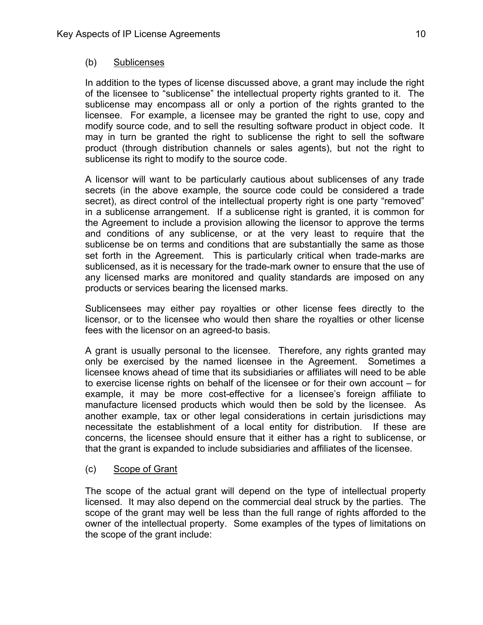## (b) Sublicenses

In addition to the types of license discussed above, a grant may include the right of the licensee to "sublicense" the intellectual property rights granted to it. The sublicense may encompass all or only a portion of the rights granted to the licensee. For example, a licensee may be granted the right to use, copy and modify source code, and to sell the resulting software product in object code. It may in turn be granted the right to sublicense the right to sell the software product (through distribution channels or sales agents), but not the right to sublicense its right to modify to the source code.

A licensor will want to be particularly cautious about sublicenses of any trade secrets (in the above example, the source code could be considered a trade secret), as direct control of the intellectual property right is one party "removed" in a sublicense arrangement. If a sublicense right is granted, it is common for the Agreement to include a provision allowing the licensor to approve the terms and conditions of any sublicense, or at the very least to require that the sublicense be on terms and conditions that are substantially the same as those set forth in the Agreement. This is particularly critical when trade-marks are sublicensed, as it is necessary for the trade-mark owner to ensure that the use of any licensed marks are monitored and quality standards are imposed on any products or services bearing the licensed marks.

Sublicensees may either pay royalties or other license fees directly to the licensor, or to the licensee who would then share the royalties or other license fees with the licensor on an agreed-to basis.

A grant is usually personal to the licensee. Therefore, any rights granted may only be exercised by the named licensee in the Agreement. Sometimes a licensee knows ahead of time that its subsidiaries or affiliates will need to be able to exercise license rights on behalf of the licensee or for their own account – for example, it may be more cost-effective for a licensee's foreign affiliate to manufacture licensed products which would then be sold by the licensee. As another example, tax or other legal considerations in certain jurisdictions may necessitate the establishment of a local entity for distribution. If these are concerns, the licensee should ensure that it either has a right to sublicense, or that the grant is expanded to include subsidiaries and affiliates of the licensee.

## (c) Scope of Grant

The scope of the actual grant will depend on the type of intellectual property licensed. It may also depend on the commercial deal struck by the parties. The scope of the grant may well be less than the full range of rights afforded to the owner of the intellectual property. Some examples of the types of limitations on the scope of the grant include: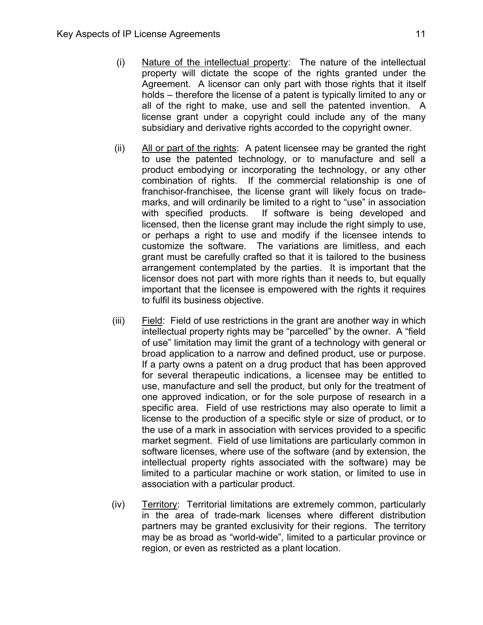- (i) Nature of the intellectual property: The nature of the intellectual property will dictate the scope of the rights granted under the Agreement. A licensor can only part with those rights that it itself holds – therefore the license of a patent is typically limited to any or all of the right to make, use and sell the patented invention. A license grant under a copyright could include any of the many subsidiary and derivative rights accorded to the copyright owner.
- (ii) All or part of the rights: A patent licensee may be granted the right to use the patented technology, or to manufacture and sell a product embodying or incorporating the technology, or any other combination of rights. If the commercial relationship is one of franchisor-franchisee, the license grant will likely focus on trademarks, and will ordinarily be limited to a right to "use" in association with specified products. If software is being developed and licensed, then the license grant may include the right simply to use, or perhaps a right to use and modify if the licensee intends to customize the software. The variations are limitless, and each grant must be carefully crafted so that it is tailored to the business arrangement contemplated by the parties. It is important that the licensor does not part with more rights than it needs to, but equally important that the licensee is empowered with the rights it requires to fulfil its business objective.
- (iii) Field: Field of use restrictions in the grant are another way in which intellectual property rights may be "parcelled" by the owner. A "field of use" limitation may limit the grant of a technology with general or broad application to a narrow and defined product, use or purpose. If a party owns a patent on a drug product that has been approved for several therapeutic indications, a licensee may be entitled to use, manufacture and sell the product, but only for the treatment of one approved indication, or for the sole purpose of research in a specific area. Field of use restrictions may also operate to limit a license to the production of a specific style or size of product, or to the use of a mark in association with services provided to a specific market segment. Field of use limitations are particularly common in software licenses, where use of the software (and by extension, the intellectual property rights associated with the software) may be limited to a particular machine or work station, or limited to use in association with a particular product.
- (iv) Territory: Territorial limitations are extremely common, particularly in the area of trade-mark licenses where different distribution partners may be granted exclusivity for their regions. The territory may be as broad as "world-wide", limited to a particular province or region, or even as restricted as a plant location.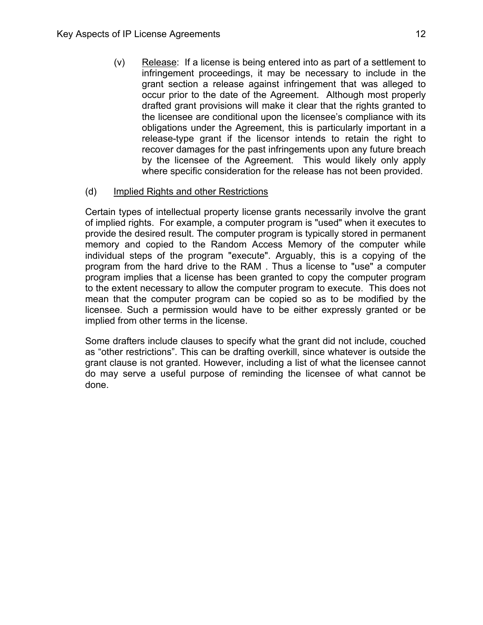(v) Release: If a license is being entered into as part of a settlement to infringement proceedings, it may be necessary to include in the grant section a release against infringement that was alleged to occur prior to the date of the Agreement. Although most properly drafted grant provisions will make it clear that the rights granted to the licensee are conditional upon the licensee's compliance with its obligations under the Agreement, this is particularly important in a release-type grant if the licensor intends to retain the right to recover damages for the past infringements upon any future breach by the licensee of the Agreement. This would likely only apply where specific consideration for the release has not been provided.

## (d) Implied Rights and other Restrictions

Certain types of intellectual property license grants necessarily involve the grant of implied rights. For example, a computer program is "used" when it executes to provide the desired result. The computer program is typically stored in permanent memory and copied to the Random Access Memory of the computer while individual steps of the program "execute". Arguably, this is a copying of the program from the hard drive to the RAM . Thus a license to "use" a computer program implies that a license has been granted to copy the computer program to the extent necessary to allow the computer program to execute. This does not mean that the computer program can be copied so as to be modified by the licensee. Such a permission would have to be either expressly granted or be implied from other terms in the license.

Some drafters include clauses to specify what the grant did not include, couched as "other restrictions". This can be drafting overkill, since whatever is outside the grant clause is not granted. However, including a list of what the licensee cannot do may serve a useful purpose of reminding the licensee of what cannot be done.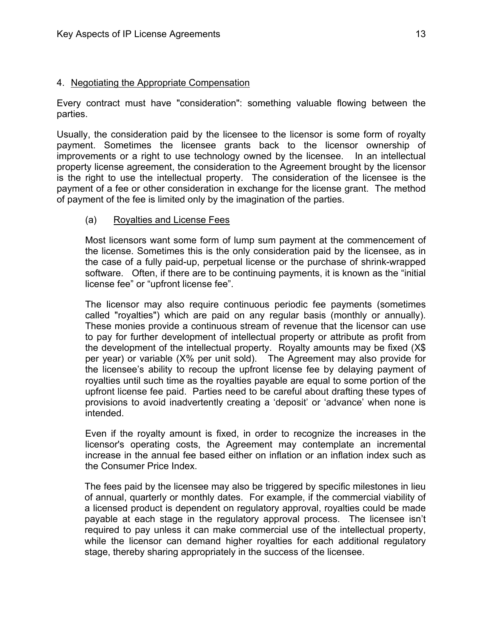#### 4. Negotiating the Appropriate Compensation

Every contract must have "consideration": something valuable flowing between the parties.

Usually, the consideration paid by the licensee to the licensor is some form of royalty payment. Sometimes the licensee grants back to the licensor ownership of improvements or a right to use technology owned by the licensee. In an intellectual property license agreement, the consideration to the Agreement brought by the licensor is the right to use the intellectual property. The consideration of the licensee is the payment of a fee or other consideration in exchange for the license grant. The method of payment of the fee is limited only by the imagination of the parties.

#### (a) Royalties and License Fees

Most licensors want some form of lump sum payment at the commencement of the license. Sometimes this is the only consideration paid by the licensee, as in the case of a fully paid-up, perpetual license or the purchase of shrink-wrapped software. Often, if there are to be continuing payments, it is known as the "initial license fee" or "upfront license fee".

The licensor may also require continuous periodic fee payments (sometimes called "royalties") which are paid on any regular basis (monthly or annually). These monies provide a continuous stream of revenue that the licensor can use to pay for further development of intellectual property or attribute as profit from the development of the intellectual property. Royalty amounts may be fixed (X\$ per year) or variable (X% per unit sold). The Agreement may also provide for the licensee's ability to recoup the upfront license fee by delaying payment of royalties until such time as the royalties payable are equal to some portion of the upfront license fee paid. Parties need to be careful about drafting these types of provisions to avoid inadvertently creating a 'deposit' or 'advance' when none is intended.

Even if the royalty amount is fixed, in order to recognize the increases in the licensor's operating costs, the Agreement may contemplate an incremental increase in the annual fee based either on inflation or an inflation index such as the Consumer Price Index.

The fees paid by the licensee may also be triggered by specific milestones in lieu of annual, quarterly or monthly dates. For example, if the commercial viability of a licensed product is dependent on regulatory approval, royalties could be made payable at each stage in the regulatory approval process. The licensee isn't required to pay unless it can make commercial use of the intellectual property, while the licensor can demand higher royalties for each additional regulatory stage, thereby sharing appropriately in the success of the licensee.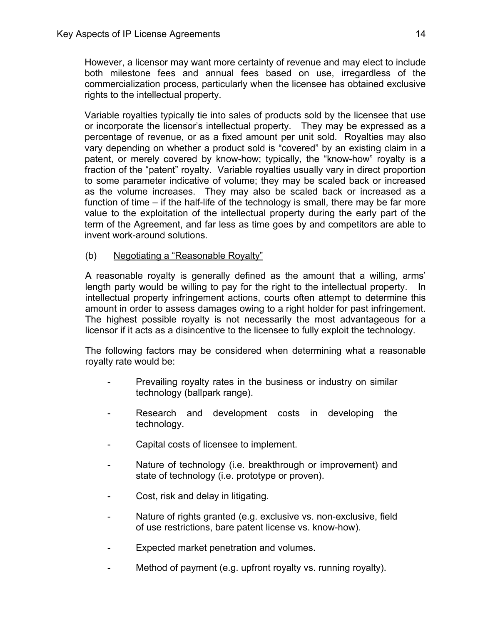However, a licensor may want more certainty of revenue and may elect to include both milestone fees and annual fees based on use, irregardless of the commercialization process, particularly when the licensee has obtained exclusive rights to the intellectual property.

Variable royalties typically tie into sales of products sold by the licensee that use or incorporate the licensor's intellectual property. They may be expressed as a percentage of revenue, or as a fixed amount per unit sold. Royalties may also vary depending on whether a product sold is "covered" by an existing claim in a patent, or merely covered by know-how; typically, the "know-how" royalty is a fraction of the "patent" royalty. Variable royalties usually vary in direct proportion to some parameter indicative of volume; they may be scaled back or increased as the volume increases. They may also be scaled back or increased as a function of time – if the half-life of the technology is small, there may be far more value to the exploitation of the intellectual property during the early part of the term of the Agreement, and far less as time goes by and competitors are able to invent work-around solutions.

(b) Negotiating a "Reasonable Royalty"

A reasonable royalty is generally defined as the amount that a willing, arms' length party would be willing to pay for the right to the intellectual property. In intellectual property infringement actions, courts often attempt to determine this amount in order to assess damages owing to a right holder for past infringement. The highest possible royalty is not necessarily the most advantageous for a licensor if it acts as a disincentive to the licensee to fully exploit the technology.

The following factors may be considered when determining what a reasonable royalty rate would be:

- Prevailing royalty rates in the business or industry on similar technology (ballpark range).
- Research and development costs in developing the technology.
- Capital costs of licensee to implement.
- Nature of technology (i.e. breakthrough or improvement) and state of technology (i.e. prototype or proven).
- Cost, risk and delay in litigating.
- Nature of rights granted (e.g. exclusive vs. non-exclusive, field of use restrictions, bare patent license vs. know-how).
- Expected market penetration and volumes.
- Method of payment (e.g. upfront royalty vs. running royalty).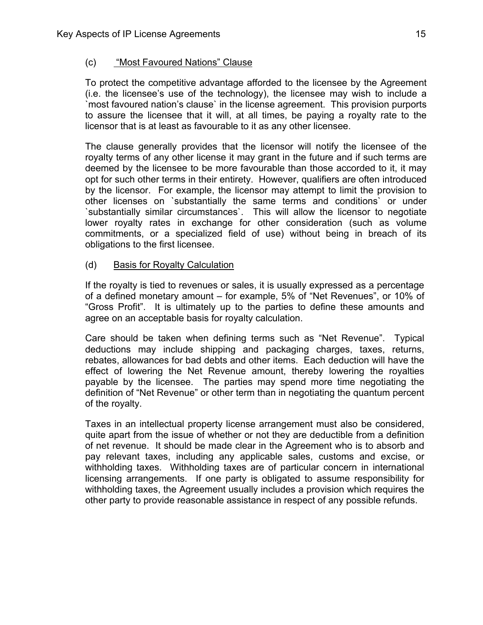# (c) "Most Favoured Nations" Clause

To protect the competitive advantage afforded to the licensee by the Agreement (i.e. the licensee's use of the technology), the licensee may wish to include a `most favoured nation's clause` in the license agreement. This provision purports to assure the licensee that it will, at all times, be paying a royalty rate to the licensor that is at least as favourable to it as any other licensee.

The clause generally provides that the licensor will notify the licensee of the royalty terms of any other license it may grant in the future and if such terms are deemed by the licensee to be more favourable than those accorded to it, it may opt for such other terms in their entirety. However, qualifiers are often introduced by the licensor. For example, the licensor may attempt to limit the provision to other licenses on `substantially the same terms and conditions` or under `substantially similar circumstances`. This will allow the licensor to negotiate lower royalty rates in exchange for other consideration (such as volume commitments, or a specialized field of use) without being in breach of its obligations to the first licensee.

# (d) Basis for Royalty Calculation

If the royalty is tied to revenues or sales, it is usually expressed as a percentage of a defined monetary amount – for example, 5% of "Net Revenues", or 10% of "Gross Profit". It is ultimately up to the parties to define these amounts and agree on an acceptable basis for royalty calculation.

Care should be taken when defining terms such as "Net Revenue". Typical deductions may include shipping and packaging charges, taxes, returns, rebates, allowances for bad debts and other items. Each deduction will have the effect of lowering the Net Revenue amount, thereby lowering the royalties payable by the licensee. The parties may spend more time negotiating the definition of "Net Revenue" or other term than in negotiating the quantum percent of the royalty.

Taxes in an intellectual property license arrangement must also be considered, quite apart from the issue of whether or not they are deductible from a definition of net revenue. It should be made clear in the Agreement who is to absorb and pay relevant taxes, including any applicable sales, customs and excise, or withholding taxes. Withholding taxes are of particular concern in international licensing arrangements. If one party is obligated to assume responsibility for withholding taxes, the Agreement usually includes a provision which requires the other party to provide reasonable assistance in respect of any possible refunds.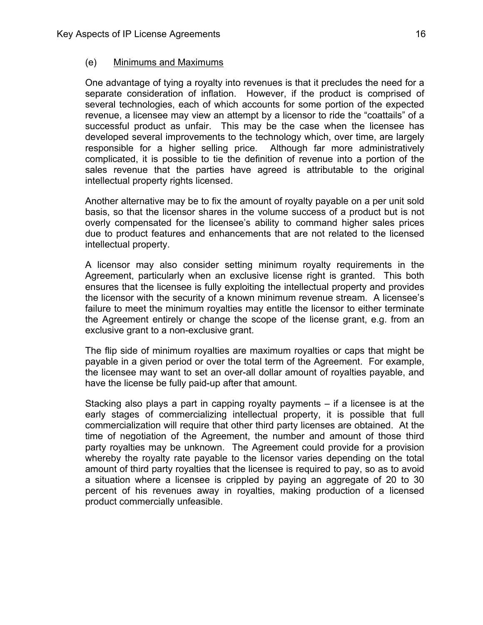#### (e) Minimums and Maximums

One advantage of tying a royalty into revenues is that it precludes the need for a separate consideration of inflation. However, if the product is comprised of several technologies, each of which accounts for some portion of the expected revenue, a licensee may view an attempt by a licensor to ride the "coattails" of a successful product as unfair. This may be the case when the licensee has developed several improvements to the technology which, over time, are largely responsible for a higher selling price. Although far more administratively complicated, it is possible to tie the definition of revenue into a portion of the sales revenue that the parties have agreed is attributable to the original intellectual property rights licensed.

Another alternative may be to fix the amount of royalty payable on a per unit sold basis, so that the licensor shares in the volume success of a product but is not overly compensated for the licensee's ability to command higher sales prices due to product features and enhancements that are not related to the licensed intellectual property.

A licensor may also consider setting minimum royalty requirements in the Agreement, particularly when an exclusive license right is granted. This both ensures that the licensee is fully exploiting the intellectual property and provides the licensor with the security of a known minimum revenue stream. A licensee's failure to meet the minimum royalties may entitle the licensor to either terminate the Agreement entirely or change the scope of the license grant, e.g. from an exclusive grant to a non-exclusive grant.

The flip side of minimum royalties are maximum royalties or caps that might be payable in a given period or over the total term of the Agreement. For example, the licensee may want to set an over-all dollar amount of royalties payable, and have the license be fully paid-up after that amount.

Stacking also plays a part in capping royalty payments – if a licensee is at the early stages of commercializing intellectual property, it is possible that full commercialization will require that other third party licenses are obtained. At the time of negotiation of the Agreement, the number and amount of those third party royalties may be unknown. The Agreement could provide for a provision whereby the royalty rate payable to the licensor varies depending on the total amount of third party royalties that the licensee is required to pay, so as to avoid a situation where a licensee is crippled by paying an aggregate of 20 to 30 percent of his revenues away in royalties, making production of a licensed product commercially unfeasible.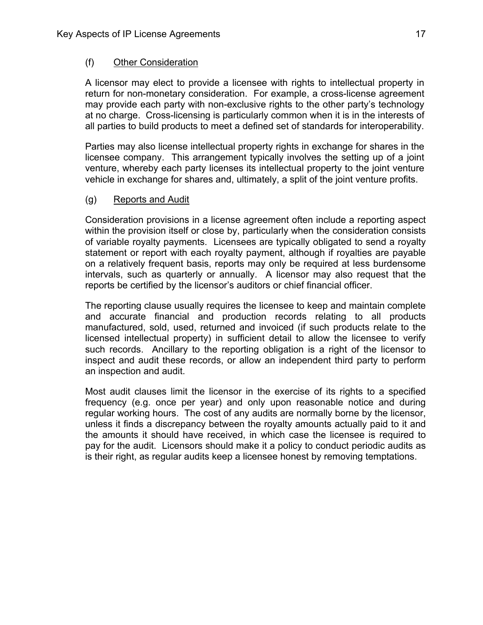## (f) Other Consideration

A licensor may elect to provide a licensee with rights to intellectual property in return for non-monetary consideration. For example, a cross-license agreement may provide each party with non-exclusive rights to the other party's technology at no charge. Cross-licensing is particularly common when it is in the interests of all parties to build products to meet a defined set of standards for interoperability.

Parties may also license intellectual property rights in exchange for shares in the licensee company. This arrangement typically involves the setting up of a joint venture, whereby each party licenses its intellectual property to the joint venture vehicle in exchange for shares and, ultimately, a split of the joint venture profits.

## (g) Reports and Audit

Consideration provisions in a license agreement often include a reporting aspect within the provision itself or close by, particularly when the consideration consists of variable royalty payments. Licensees are typically obligated to send a royalty statement or report with each royalty payment, although if royalties are payable on a relatively frequent basis, reports may only be required at less burdensome intervals, such as quarterly or annually. A licensor may also request that the reports be certified by the licensor's auditors or chief financial officer.

The reporting clause usually requires the licensee to keep and maintain complete and accurate financial and production records relating to all products manufactured, sold, used, returned and invoiced (if such products relate to the licensed intellectual property) in sufficient detail to allow the licensee to verify such records. Ancillary to the reporting obligation is a right of the licensor to inspect and audit these records, or allow an independent third party to perform an inspection and audit.

Most audit clauses limit the licensor in the exercise of its rights to a specified frequency (e.g. once per year) and only upon reasonable notice and during regular working hours. The cost of any audits are normally borne by the licensor, unless it finds a discrepancy between the royalty amounts actually paid to it and the amounts it should have received, in which case the licensee is required to pay for the audit. Licensors should make it a policy to conduct periodic audits as is their right, as regular audits keep a licensee honest by removing temptations.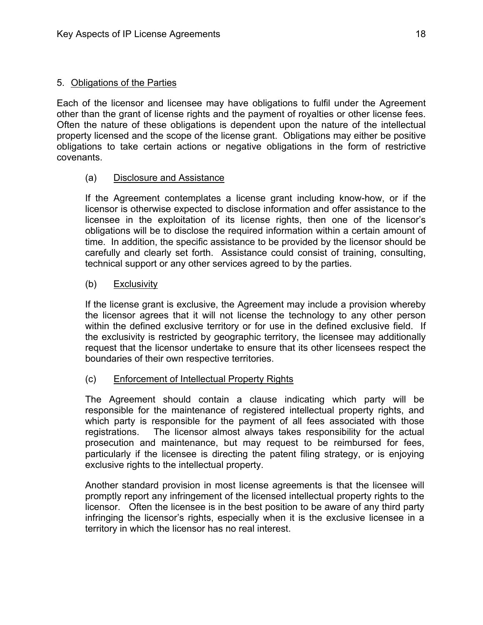## 5. Obligations of the Parties

Each of the licensor and licensee may have obligations to fulfil under the Agreement other than the grant of license rights and the payment of royalties or other license fees. Often the nature of these obligations is dependent upon the nature of the intellectual property licensed and the scope of the license grant. Obligations may either be positive obligations to take certain actions or negative obligations in the form of restrictive covenants.

## (a) Disclosure and Assistance

If the Agreement contemplates a license grant including know-how, or if the licensor is otherwise expected to disclose information and offer assistance to the licensee in the exploitation of its license rights, then one of the licensor's obligations will be to disclose the required information within a certain amount of time. In addition, the specific assistance to be provided by the licensor should be carefully and clearly set forth. Assistance could consist of training, consulting, technical support or any other services agreed to by the parties.

## (b) Exclusivity

If the license grant is exclusive, the Agreement may include a provision whereby the licensor agrees that it will not license the technology to any other person within the defined exclusive territory or for use in the defined exclusive field. If the exclusivity is restricted by geographic territory, the licensee may additionally request that the licensor undertake to ensure that its other licensees respect the boundaries of their own respective territories.

## (c) Enforcement of Intellectual Property Rights

The Agreement should contain a clause indicating which party will be responsible for the maintenance of registered intellectual property rights, and which party is responsible for the payment of all fees associated with those registrations. The licensor almost always takes responsibility for the actual prosecution and maintenance, but may request to be reimbursed for fees, particularly if the licensee is directing the patent filing strategy, or is enjoying exclusive rights to the intellectual property.

Another standard provision in most license agreements is that the licensee will promptly report any infringement of the licensed intellectual property rights to the licensor. Often the licensee is in the best position to be aware of any third party infringing the licensor's rights, especially when it is the exclusive licensee in a territory in which the licensor has no real interest.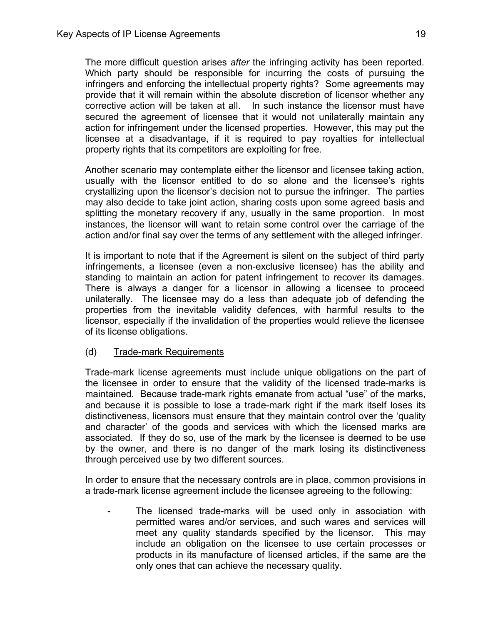The more difficult question arises *after* the infringing activity has been reported. Which party should be responsible for incurring the costs of pursuing the infringers and enforcing the intellectual property rights? Some agreements may provide that it will remain within the absolute discretion of licensor whether any corrective action will be taken at all. In such instance the licensor must have secured the agreement of licensee that it would not unilaterally maintain any action for infringement under the licensed properties. However, this may put the licensee at a disadvantage, if it is required to pay royalties for intellectual property rights that its competitors are exploiting for free.

Another scenario may contemplate either the licensor and licensee taking action, usually with the licensor entitled to do so alone and the licensee's rights crystallizing upon the licensor's decision not to pursue the infringer. The parties may also decide to take joint action, sharing costs upon some agreed basis and splitting the monetary recovery if any, usually in the same proportion. In most instances, the licensor will want to retain some control over the carriage of the action and/or final say over the terms of any settlement with the alleged infringer.

It is important to note that if the Agreement is silent on the subject of third party infringements, a licensee (even a non-exclusive licensee) has the ability and standing to maintain an action for patent infringement to recover its damages. There is always a danger for a licensor in allowing a licensee to proceed unilaterally. The licensee may do a less than adequate job of defending the properties from the inevitable validity defences, with harmful results to the licensor, especially if the invalidation of the properties would relieve the licensee of its license obligations.

# (d) Trade-mark Requirements

Trade-mark license agreements must include unique obligations on the part of the licensee in order to ensure that the validity of the licensed trade-marks is maintained. Because trade-mark rights emanate from actual "use" of the marks, and because it is possible to lose a trade-mark right if the mark itself loses its distinctiveness, licensors must ensure that they maintain control over the 'quality and character' of the goods and services with which the licensed marks are associated. If they do so, use of the mark by the licensee is deemed to be use by the owner, and there is no danger of the mark losing its distinctiveness through perceived use by two different sources.

In order to ensure that the necessary controls are in place, common provisions in a trade-mark license agreement include the licensee agreeing to the following:

The licensed trade-marks will be used only in association with permitted wares and/or services, and such wares and services will meet any quality standards specified by the licensor. This may include an obligation on the licensee to use certain processes or products in its manufacture of licensed articles, if the same are the only ones that can achieve the necessary quality.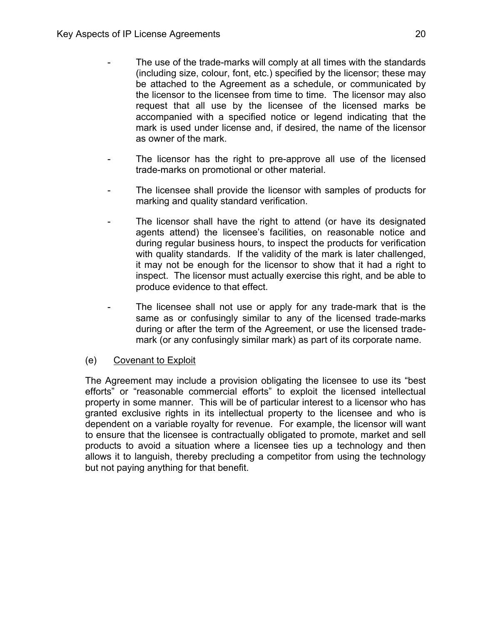- The use of the trade-marks will comply at all times with the standards (including size, colour, font, etc.) specified by the licensor; these may be attached to the Agreement as a schedule, or communicated by the licensor to the licensee from time to time. The licensor may also request that all use by the licensee of the licensed marks be accompanied with a specified notice or legend indicating that the mark is used under license and, if desired, the name of the licensor as owner of the mark.
- The licensor has the right to pre-approve all use of the licensed trade-marks on promotional or other material.
- The licensee shall provide the licensor with samples of products for marking and quality standard verification.
- The licensor shall have the right to attend (or have its designated agents attend) the licensee's facilities, on reasonable notice and during regular business hours, to inspect the products for verification with quality standards. If the validity of the mark is later challenged, it may not be enough for the licensor to show that it had a right to inspect. The licensor must actually exercise this right, and be able to produce evidence to that effect.
- The licensee shall not use or apply for any trade-mark that is the same as or confusingly similar to any of the licensed trade-marks during or after the term of the Agreement, or use the licensed trademark (or any confusingly similar mark) as part of its corporate name.

# (e) Covenant to Exploit

The Agreement may include a provision obligating the licensee to use its "best efforts" or "reasonable commercial efforts" to exploit the licensed intellectual property in some manner. This will be of particular interest to a licensor who has granted exclusive rights in its intellectual property to the licensee and who is dependent on a variable royalty for revenue. For example, the licensor will want to ensure that the licensee is contractually obligated to promote, market and sell products to avoid a situation where a licensee ties up a technology and then allows it to languish, thereby precluding a competitor from using the technology but not paying anything for that benefit.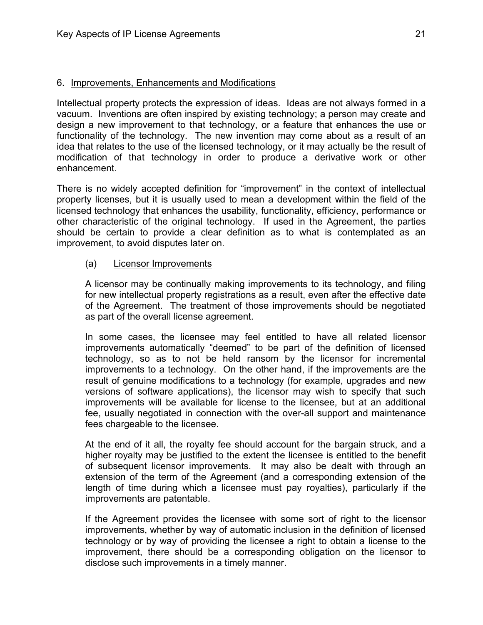## 6. Improvements, Enhancements and Modifications

Intellectual property protects the expression of ideas. Ideas are not always formed in a vacuum. Inventions are often inspired by existing technology; a person may create and design a new improvement to that technology, or a feature that enhances the use or functionality of the technology. The new invention may come about as a result of an idea that relates to the use of the licensed technology, or it may actually be the result of modification of that technology in order to produce a derivative work or other enhancement.

There is no widely accepted definition for "improvement" in the context of intellectual property licenses, but it is usually used to mean a development within the field of the licensed technology that enhances the usability, functionality, efficiency, performance or other characteristic of the original technology. If used in the Agreement, the parties should be certain to provide a clear definition as to what is contemplated as an improvement, to avoid disputes later on.

## (a) Licensor Improvements

A licensor may be continually making improvements to its technology, and filing for new intellectual property registrations as a result, even after the effective date of the Agreement. The treatment of those improvements should be negotiated as part of the overall license agreement.

 In some cases, the licensee may feel entitled to have all related licensor improvements automatically "deemed" to be part of the definition of licensed technology, so as to not be held ransom by the licensor for incremental improvements to a technology. On the other hand, if the improvements are the result of genuine modifications to a technology (for example, upgrades and new versions of software applications), the licensor may wish to specify that such improvements will be available for license to the licensee, but at an additional fee, usually negotiated in connection with the over-all support and maintenance fees chargeable to the licensee.

 At the end of it all, the royalty fee should account for the bargain struck, and a higher royalty may be justified to the extent the licensee is entitled to the benefit of subsequent licensor improvements. It may also be dealt with through an extension of the term of the Agreement (and a corresponding extension of the length of time during which a licensee must pay royalties), particularly if the improvements are patentable.

 If the Agreement provides the licensee with some sort of right to the licensor improvements, whether by way of automatic inclusion in the definition of licensed technology or by way of providing the licensee a right to obtain a license to the improvement, there should be a corresponding obligation on the licensor to disclose such improvements in a timely manner.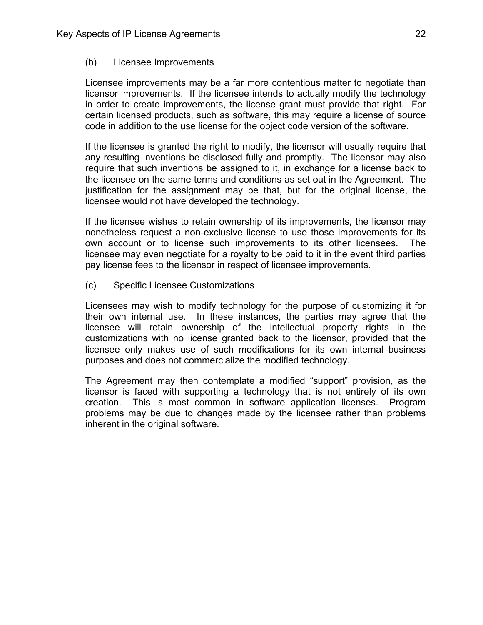## (b) Licensee Improvements

Licensee improvements may be a far more contentious matter to negotiate than licensor improvements. If the licensee intends to actually modify the technology in order to create improvements, the license grant must provide that right. For certain licensed products, such as software, this may require a license of source code in addition to the use license for the object code version of the software.

If the licensee is granted the right to modify, the licensor will usually require that any resulting inventions be disclosed fully and promptly. The licensor may also require that such inventions be assigned to it, in exchange for a license back to the licensee on the same terms and conditions as set out in the Agreement. The justification for the assignment may be that, but for the original license, the licensee would not have developed the technology.

If the licensee wishes to retain ownership of its improvements, the licensor may nonetheless request a non-exclusive license to use those improvements for its own account or to license such improvements to its other licensees. The licensee may even negotiate for a royalty to be paid to it in the event third parties pay license fees to the licensor in respect of licensee improvements.

(c) Specific Licensee Customizations

Licensees may wish to modify technology for the purpose of customizing it for their own internal use. In these instances, the parties may agree that the licensee will retain ownership of the intellectual property rights in the customizations with no license granted back to the licensor, provided that the licensee only makes use of such modifications for its own internal business purposes and does not commercialize the modified technology.

The Agreement may then contemplate a modified "support" provision, as the licensor is faced with supporting a technology that is not entirely of its own creation. This is most common in software application licenses. Program problems may be due to changes made by the licensee rather than problems inherent in the original software.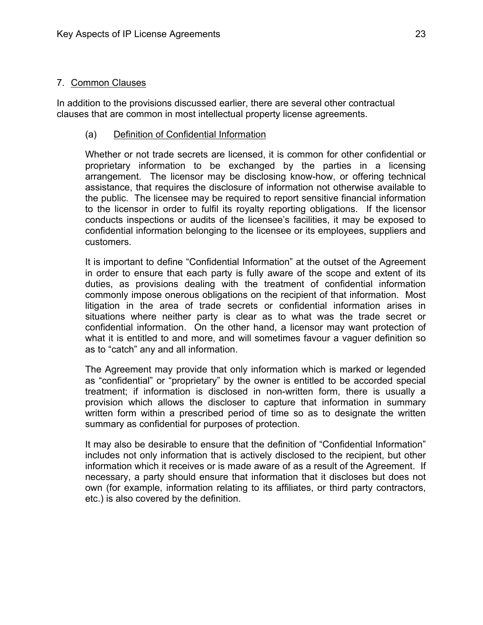#### 7. Common Clauses

In addition to the provisions discussed earlier, there are several other contractual clauses that are common in most intellectual property license agreements.

#### (a) Definition of Confidential Information

Whether or not trade secrets are licensed, it is common for other confidential or proprietary information to be exchanged by the parties in a licensing arrangement. The licensor may be disclosing know-how, or offering technical assistance, that requires the disclosure of information not otherwise available to the public. The licensee may be required to report sensitive financial information to the licensor in order to fulfil its royalty reporting obligations. If the licensor conducts inspections or audits of the licensee's facilities, it may be exposed to confidential information belonging to the licensee or its employees, suppliers and customers.

It is important to define "Confidential Information" at the outset of the Agreement in order to ensure that each party is fully aware of the scope and extent of its duties, as provisions dealing with the treatment of confidential information commonly impose onerous obligations on the recipient of that information. Most litigation in the area of trade secrets or confidential information arises in situations where neither party is clear as to what was the trade secret or confidential information. On the other hand, a licensor may want protection of what it is entitled to and more, and will sometimes favour a vaguer definition so as to "catch" any and all information.

The Agreement may provide that only information which is marked or legended as "confidential" or "proprietary" by the owner is entitled to be accorded special treatment; if information is disclosed in non-written form, there is usually a provision which allows the discloser to capture that information in summary written form within a prescribed period of time so as to designate the written summary as confidential for purposes of protection.

It may also be desirable to ensure that the definition of "Confidential Information" includes not only information that is actively disclosed to the recipient, but other information which it receives or is made aware of as a result of the Agreement. If necessary, a party should ensure that information that it discloses but does not own (for example, information relating to its affiliates, or third party contractors, etc.) is also covered by the definition.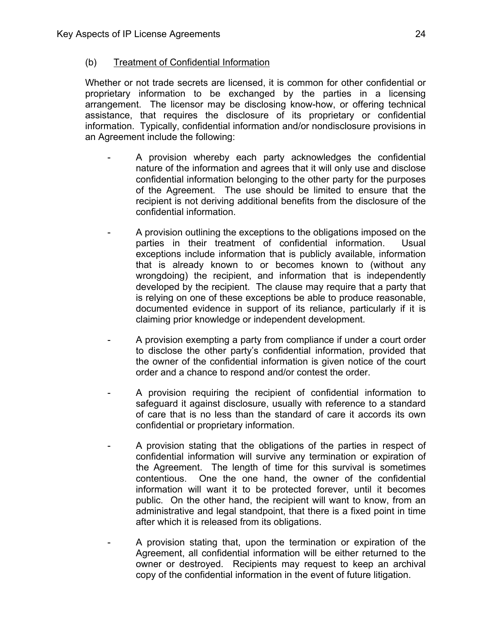## (b) Treatment of Confidential Information

Whether or not trade secrets are licensed, it is common for other confidential or proprietary information to be exchanged by the parties in a licensing arrangement. The licensor may be disclosing know-how, or offering technical assistance, that requires the disclosure of its proprietary or confidential information. Typically, confidential information and/or nondisclosure provisions in an Agreement include the following:

- A provision whereby each party acknowledges the confidential nature of the information and agrees that it will only use and disclose confidential information belonging to the other party for the purposes of the Agreement. The use should be limited to ensure that the recipient is not deriving additional benefits from the disclosure of the confidential information.
- A provision outlining the exceptions to the obligations imposed on the parties in their treatment of confidential information. Usual exceptions include information that is publicly available, information that is already known to or becomes known to (without any wrongdoing) the recipient, and information that is independently developed by the recipient. The clause may require that a party that is relying on one of these exceptions be able to produce reasonable, documented evidence in support of its reliance, particularly if it is claiming prior knowledge or independent development.
- A provision exempting a party from compliance if under a court order to disclose the other party's confidential information, provided that the owner of the confidential information is given notice of the court order and a chance to respond and/or contest the order.
- A provision requiring the recipient of confidential information to safeguard it against disclosure, usually with reference to a standard of care that is no less than the standard of care it accords its own confidential or proprietary information.
- A provision stating that the obligations of the parties in respect of confidential information will survive any termination or expiration of the Agreement. The length of time for this survival is sometimes contentious. One the one hand, the owner of the confidential information will want it to be protected forever, until it becomes public. On the other hand, the recipient will want to know, from an administrative and legal standpoint, that there is a fixed point in time after which it is released from its obligations.
- A provision stating that, upon the termination or expiration of the Agreement, all confidential information will be either returned to the owner or destroyed. Recipients may request to keep an archival copy of the confidential information in the event of future litigation.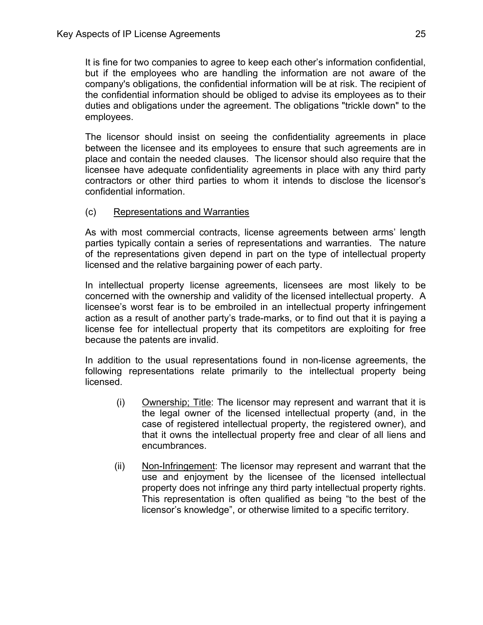It is fine for two companies to agree to keep each other's information confidential, but if the employees who are handling the information are not aware of the company's obligations, the confidential information will be at risk. The recipient of the confidential information should be obliged to advise its employees as to their duties and obligations under the agreement. The obligations "trickle down" to the employees.

The licensor should insist on seeing the confidentiality agreements in place between the licensee and its employees to ensure that such agreements are in place and contain the needed clauses. The licensor should also require that the licensee have adequate confidentiality agreements in place with any third party contractors or other third parties to whom it intends to disclose the licensor's confidential information.

# (c) Representations and Warranties

As with most commercial contracts, license agreements between arms' length parties typically contain a series of representations and warranties. The nature of the representations given depend in part on the type of intellectual property licensed and the relative bargaining power of each party.

In intellectual property license agreements, licensees are most likely to be concerned with the ownership and validity of the licensed intellectual property. A licensee's worst fear is to be embroiled in an intellectual property infringement action as a result of another party's trade-marks, or to find out that it is paying a license fee for intellectual property that its competitors are exploiting for free because the patents are invalid.

In addition to the usual representations found in non-license agreements, the following representations relate primarily to the intellectual property being licensed.

- (i) Ownership; Title: The licensor may represent and warrant that it is the legal owner of the licensed intellectual property (and, in the case of registered intellectual property, the registered owner), and that it owns the intellectual property free and clear of all liens and encumbrances.
- (ii) Non-Infringement: The licensor may represent and warrant that the use and enjoyment by the licensee of the licensed intellectual property does not infringe any third party intellectual property rights. This representation is often qualified as being "to the best of the licensor's knowledge", or otherwise limited to a specific territory.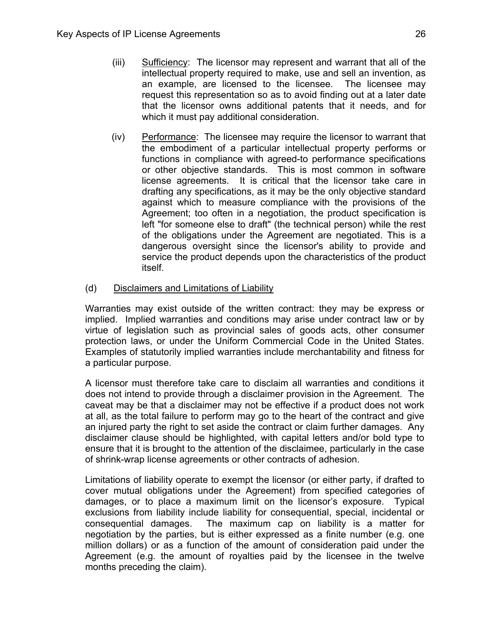- (iii) Sufficiency: The licensor may represent and warrant that all of the intellectual property required to make, use and sell an invention, as an example, are licensed to the licensee. The licensee may request this representation so as to avoid finding out at a later date that the licensor owns additional patents that it needs, and for which it must pay additional consideration.
- (iv) Performance: The licensee may require the licensor to warrant that the embodiment of a particular intellectual property performs or functions in compliance with agreed-to performance specifications or other objective standards. This is most common in software license agreements. It is critical that the licensor take care in drafting any specifications, as it may be the only objective standard against which to measure compliance with the provisions of the Agreement; too often in a negotiation, the product specification is left "for someone else to draft" (the technical person) while the rest of the obligations under the Agreement are negotiated. This is a dangerous oversight since the licensor's ability to provide and service the product depends upon the characteristics of the product itself.
- (d) Disclaimers and Limitations of Liability

Warranties may exist outside of the written contract: they may be express or implied. Implied warranties and conditions may arise under contract law or by virtue of legislation such as provincial sales of goods acts, other consumer protection laws, or under the Uniform Commercial Code in the United States. Examples of statutorily implied warranties include merchantability and fitness for a particular purpose.

A licensor must therefore take care to disclaim all warranties and conditions it does not intend to provide through a disclaimer provision in the Agreement. The caveat may be that a disclaimer may not be effective if a product does not work at all, as the total failure to perform may go to the heart of the contract and give an injured party the right to set aside the contract or claim further damages. Any disclaimer clause should be highlighted, with capital letters and/or bold type to ensure that it is brought to the attention of the disclaimee, particularly in the case of shrink-wrap license agreements or other contracts of adhesion.

Limitations of liability operate to exempt the licensor (or either party, if drafted to cover mutual obligations under the Agreement) from specified categories of damages, or to place a maximum limit on the licensor's exposure. Typical exclusions from liability include liability for consequential, special, incidental or consequential damages. The maximum cap on liability is a matter for negotiation by the parties, but is either expressed as a finite number (e.g. one million dollars) or as a function of the amount of consideration paid under the Agreement (e.g. the amount of royalties paid by the licensee in the twelve months preceding the claim).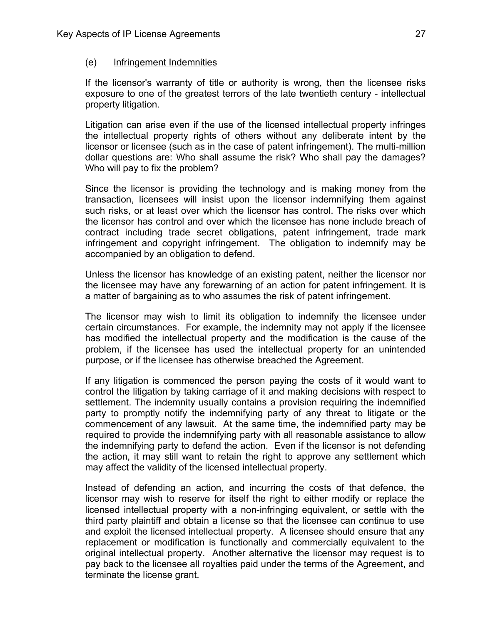#### (e) Infringement Indemnities

If the licensor's warranty of title or authority is wrong, then the licensee risks exposure to one of the greatest terrors of the late twentieth century - intellectual property litigation.

Litigation can arise even if the use of the licensed intellectual property infringes the intellectual property rights of others without any deliberate intent by the licensor or licensee (such as in the case of patent infringement). The multi-million dollar questions are: Who shall assume the risk? Who shall pay the damages? Who will pay to fix the problem?

Since the licensor is providing the technology and is making money from the transaction, licensees will insist upon the licensor indemnifying them against such risks, or at least over which the licensor has control. The risks over which the licensor has control and over which the licensee has none include breach of contract including trade secret obligations, patent infringement, trade mark infringement and copyright infringement. The obligation to indemnify may be accompanied by an obligation to defend.

Unless the licensor has knowledge of an existing patent, neither the licensor nor the licensee may have any forewarning of an action for patent infringement. It is a matter of bargaining as to who assumes the risk of patent infringement.

The licensor may wish to limit its obligation to indemnify the licensee under certain circumstances. For example, the indemnity may not apply if the licensee has modified the intellectual property and the modification is the cause of the problem, if the licensee has used the intellectual property for an unintended purpose, or if the licensee has otherwise breached the Agreement.

If any litigation is commenced the person paying the costs of it would want to control the litigation by taking carriage of it and making decisions with respect to settlement. The indemnity usually contains a provision requiring the indemnified party to promptly notify the indemnifying party of any threat to litigate or the commencement of any lawsuit. At the same time, the indemnified party may be required to provide the indemnifying party with all reasonable assistance to allow the indemnifying party to defend the action. Even if the licensor is not defending the action, it may still want to retain the right to approve any settlement which may affect the validity of the licensed intellectual property.

Instead of defending an action, and incurring the costs of that defence, the licensor may wish to reserve for itself the right to either modify or replace the licensed intellectual property with a non-infringing equivalent, or settle with the third party plaintiff and obtain a license so that the licensee can continue to use and exploit the licensed intellectual property. A licensee should ensure that any replacement or modification is functionally and commercially equivalent to the original intellectual property. Another alternative the licensor may request is to pay back to the licensee all royalties paid under the terms of the Agreement, and terminate the license grant.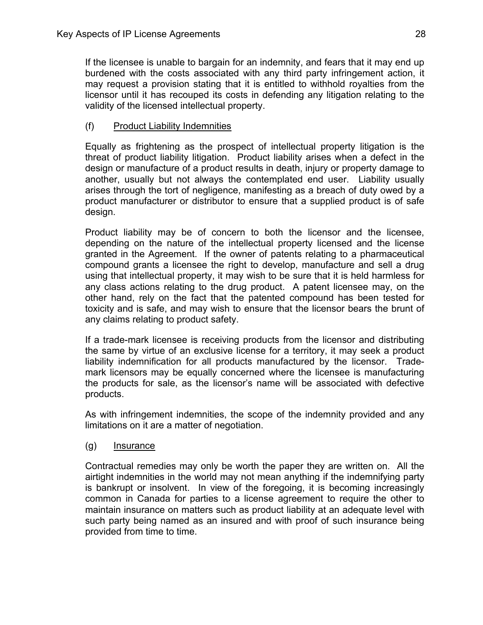If the licensee is unable to bargain for an indemnity, and fears that it may end up burdened with the costs associated with any third party infringement action, it may request a provision stating that it is entitled to withhold royalties from the licensor until it has recouped its costs in defending any litigation relating to the validity of the licensed intellectual property.

# (f) Product Liability Indemnities

Equally as frightening as the prospect of intellectual property litigation is the threat of product liability litigation. Product liability arises when a defect in the design or manufacture of a product results in death, injury or property damage to another, usually but not always the contemplated end user. Liability usually arises through the tort of negligence, manifesting as a breach of duty owed by a product manufacturer or distributor to ensure that a supplied product is of safe design.

Product liability may be of concern to both the licensor and the licensee, depending on the nature of the intellectual property licensed and the license granted in the Agreement. If the owner of patents relating to a pharmaceutical compound grants a licensee the right to develop, manufacture and sell a drug using that intellectual property, it may wish to be sure that it is held harmless for any class actions relating to the drug product. A patent licensee may, on the other hand, rely on the fact that the patented compound has been tested for toxicity and is safe, and may wish to ensure that the licensor bears the brunt of any claims relating to product safety.

If a trade-mark licensee is receiving products from the licensor and distributing the same by virtue of an exclusive license for a territory, it may seek a product liability indemnification for all products manufactured by the licensor. Trademark licensors may be equally concerned where the licensee is manufacturing the products for sale, as the licensor's name will be associated with defective products.

As with infringement indemnities, the scope of the indemnity provided and any limitations on it are a matter of negotiation.

# (g) Insurance

Contractual remedies may only be worth the paper they are written on. All the airtight indemnities in the world may not mean anything if the indemnifying party is bankrupt or insolvent. In view of the foregoing, it is becoming increasingly common in Canada for parties to a license agreement to require the other to maintain insurance on matters such as product liability at an adequate level with such party being named as an insured and with proof of such insurance being provided from time to time.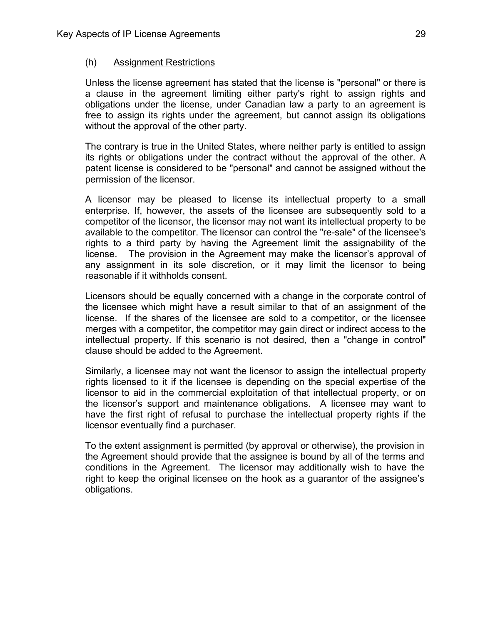#### (h) Assignment Restrictions

Unless the license agreement has stated that the license is "personal" or there is a clause in the agreement limiting either party's right to assign rights and obligations under the license, under Canadian law a party to an agreement is free to assign its rights under the agreement, but cannot assign its obligations without the approval of the other party.

The contrary is true in the United States, where neither party is entitled to assign its rights or obligations under the contract without the approval of the other. A patent license is considered to be "personal" and cannot be assigned without the permission of the licensor.

A licensor may be pleased to license its intellectual property to a small enterprise. If, however, the assets of the licensee are subsequently sold to a competitor of the licensor, the licensor may not want its intellectual property to be available to the competitor. The licensor can control the "re-sale" of the licensee's rights to a third party by having the Agreement limit the assignability of the license. The provision in the Agreement may make the licensor's approval of any assignment in its sole discretion, or it may limit the licensor to being reasonable if it withholds consent.

Licensors should be equally concerned with a change in the corporate control of the licensee which might have a result similar to that of an assignment of the license. If the shares of the licensee are sold to a competitor, or the licensee merges with a competitor, the competitor may gain direct or indirect access to the intellectual property. If this scenario is not desired, then a "change in control" clause should be added to the Agreement.

Similarly, a licensee may not want the licensor to assign the intellectual property rights licensed to it if the licensee is depending on the special expertise of the licensor to aid in the commercial exploitation of that intellectual property, or on the licensor's support and maintenance obligations. A licensee may want to have the first right of refusal to purchase the intellectual property rights if the licensor eventually find a purchaser.

To the extent assignment is permitted (by approval or otherwise), the provision in the Agreement should provide that the assignee is bound by all of the terms and conditions in the Agreement. The licensor may additionally wish to have the right to keep the original licensee on the hook as a guarantor of the assignee's obligations.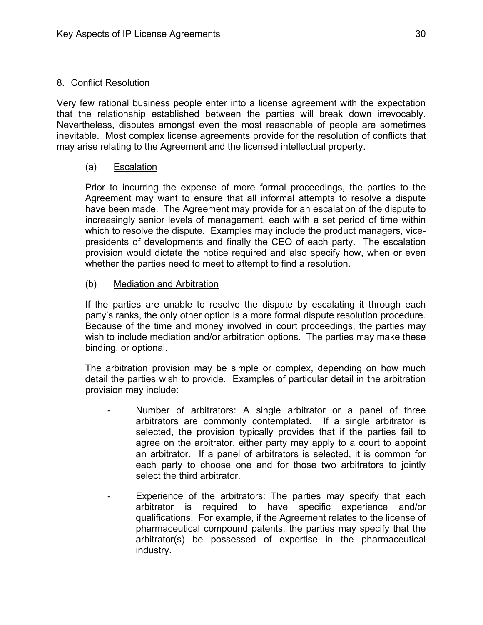#### 8. Conflict Resolution

Very few rational business people enter into a license agreement with the expectation that the relationship established between the parties will break down irrevocably. Nevertheless, disputes amongst even the most reasonable of people are sometimes inevitable. Most complex license agreements provide for the resolution of conflicts that may arise relating to the Agreement and the licensed intellectual property.

## (a) Escalation

Prior to incurring the expense of more formal proceedings, the parties to the Agreement may want to ensure that all informal attempts to resolve a dispute have been made. The Agreement may provide for an escalation of the dispute to increasingly senior levels of management, each with a set period of time within which to resolve the dispute. Examples may include the product managers, vicepresidents of developments and finally the CEO of each party. The escalation provision would dictate the notice required and also specify how, when or even whether the parties need to meet to attempt to find a resolution.

## (b) Mediation and Arbitration

If the parties are unable to resolve the dispute by escalating it through each party's ranks, the only other option is a more formal dispute resolution procedure. Because of the time and money involved in court proceedings, the parties may wish to include mediation and/or arbitration options. The parties may make these binding, or optional.

The arbitration provision may be simple or complex, depending on how much detail the parties wish to provide. Examples of particular detail in the arbitration provision may include:

- Number of arbitrators: A single arbitrator or a panel of three arbitrators are commonly contemplated. If a single arbitrator is selected, the provision typically provides that if the parties fail to agree on the arbitrator, either party may apply to a court to appoint an arbitrator. If a panel of arbitrators is selected, it is common for each party to choose one and for those two arbitrators to jointly select the third arbitrator.
- Experience of the arbitrators: The parties may specify that each arbitrator is required to have specific experience and/or qualifications. For example, if the Agreement relates to the license of pharmaceutical compound patents, the parties may specify that the arbitrator(s) be possessed of expertise in the pharmaceutical industry.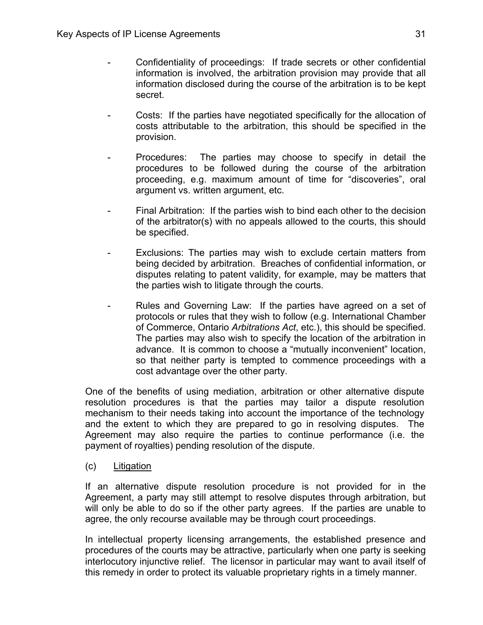- Confidentiality of proceedings: If trade secrets or other confidential information is involved, the arbitration provision may provide that all information disclosed during the course of the arbitration is to be kept secret.
- Costs: If the parties have negotiated specifically for the allocation of costs attributable to the arbitration, this should be specified in the provision.
- Procedures: The parties may choose to specify in detail the procedures to be followed during the course of the arbitration proceeding, e.g. maximum amount of time for "discoveries", oral argument vs. written argument, etc.
- Final Arbitration: If the parties wish to bind each other to the decision of the arbitrator(s) with no appeals allowed to the courts, this should be specified.
- Exclusions: The parties may wish to exclude certain matters from being decided by arbitration. Breaches of confidential information, or disputes relating to patent validity, for example, may be matters that the parties wish to litigate through the courts.
- Rules and Governing Law: If the parties have agreed on a set of protocols or rules that they wish to follow (e.g. International Chamber of Commerce, Ontario *Arbitrations Act*, etc.), this should be specified. The parties may also wish to specify the location of the arbitration in advance. It is common to choose a "mutually inconvenient" location, so that neither party is tempted to commence proceedings with a cost advantage over the other party.

One of the benefits of using mediation, arbitration or other alternative dispute resolution procedures is that the parties may tailor a dispute resolution mechanism to their needs taking into account the importance of the technology and the extent to which they are prepared to go in resolving disputes. The Agreement may also require the parties to continue performance (i.e. the payment of royalties) pending resolution of the dispute.

(c) Litigation

If an alternative dispute resolution procedure is not provided for in the Agreement, a party may still attempt to resolve disputes through arbitration, but will only be able to do so if the other party agrees. If the parties are unable to agree, the only recourse available may be through court proceedings.

In intellectual property licensing arrangements, the established presence and procedures of the courts may be attractive, particularly when one party is seeking interlocutory injunctive relief. The licensor in particular may want to avail itself of this remedy in order to protect its valuable proprietary rights in a timely manner.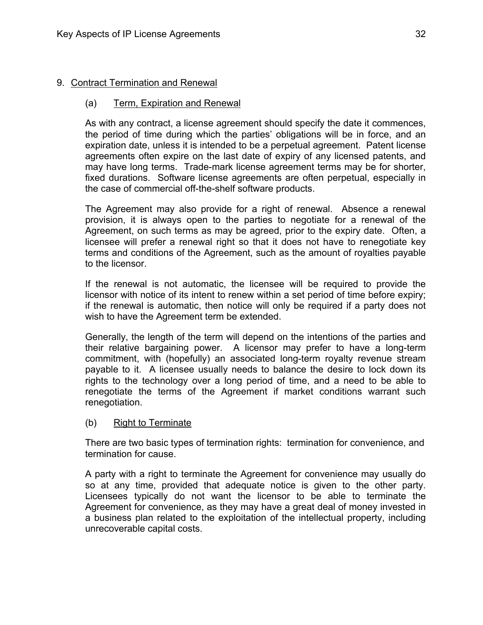## 9. Contract Termination and Renewal

## (a) Term, Expiration and Renewal

As with any contract, a license agreement should specify the date it commences, the period of time during which the parties' obligations will be in force, and an expiration date, unless it is intended to be a perpetual agreement. Patent license agreements often expire on the last date of expiry of any licensed patents, and may have long terms. Trade-mark license agreement terms may be for shorter, fixed durations. Software license agreements are often perpetual, especially in the case of commercial off-the-shelf software products.

The Agreement may also provide for a right of renewal. Absence a renewal provision, it is always open to the parties to negotiate for a renewal of the Agreement, on such terms as may be agreed, prior to the expiry date. Often, a licensee will prefer a renewal right so that it does not have to renegotiate key terms and conditions of the Agreement, such as the amount of royalties payable to the licensor.

If the renewal is not automatic, the licensee will be required to provide the licensor with notice of its intent to renew within a set period of time before expiry; if the renewal is automatic, then notice will only be required if a party does not wish to have the Agreement term be extended.

Generally, the length of the term will depend on the intentions of the parties and their relative bargaining power. A licensor may prefer to have a long-term commitment, with (hopefully) an associated long-term royalty revenue stream payable to it. A licensee usually needs to balance the desire to lock down its rights to the technology over a long period of time, and a need to be able to renegotiate the terms of the Agreement if market conditions warrant such renegotiation.

## (b) Right to Terminate

There are two basic types of termination rights: termination for convenience, and termination for cause.

A party with a right to terminate the Agreement for convenience may usually do so at any time, provided that adequate notice is given to the other party. Licensees typically do not want the licensor to be able to terminate the Agreement for convenience, as they may have a great deal of money invested in a business plan related to the exploitation of the intellectual property, including unrecoverable capital costs.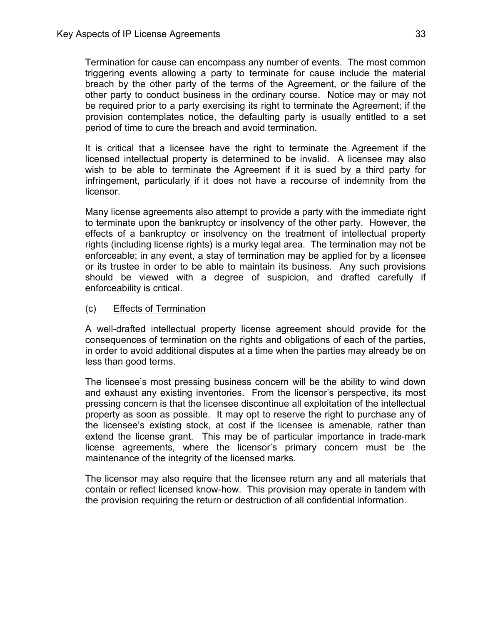Termination for cause can encompass any number of events. The most common triggering events allowing a party to terminate for cause include the material breach by the other party of the terms of the Agreement, or the failure of the other party to conduct business in the ordinary course. Notice may or may not be required prior to a party exercising its right to terminate the Agreement; if the provision contemplates notice, the defaulting party is usually entitled to a set period of time to cure the breach and avoid termination.

It is critical that a licensee have the right to terminate the Agreement if the licensed intellectual property is determined to be invalid. A licensee may also wish to be able to terminate the Agreement if it is sued by a third party for infringement, particularly if it does not have a recourse of indemnity from the licensor.

Many license agreements also attempt to provide a party with the immediate right to terminate upon the bankruptcy or insolvency of the other party. However, the effects of a bankruptcy or insolvency on the treatment of intellectual property rights (including license rights) is a murky legal area. The termination may not be enforceable; in any event, a stay of termination may be applied for by a licensee or its trustee in order to be able to maintain its business. Any such provisions should be viewed with a degree of suspicion, and drafted carefully if enforceability is critical.

(c) Effects of Termination

A well-drafted intellectual property license agreement should provide for the consequences of termination on the rights and obligations of each of the parties, in order to avoid additional disputes at a time when the parties may already be on less than good terms.

The licensee's most pressing business concern will be the ability to wind down and exhaust any existing inventories. From the licensor's perspective, its most pressing concern is that the licensee discontinue all exploitation of the intellectual property as soon as possible. It may opt to reserve the right to purchase any of the licensee's existing stock, at cost if the licensee is amenable, rather than extend the license grant. This may be of particular importance in trade-mark license agreements, where the licensor's primary concern must be the maintenance of the integrity of the licensed marks.

The licensor may also require that the licensee return any and all materials that contain or reflect licensed know-how. This provision may operate in tandem with the provision requiring the return or destruction of all confidential information.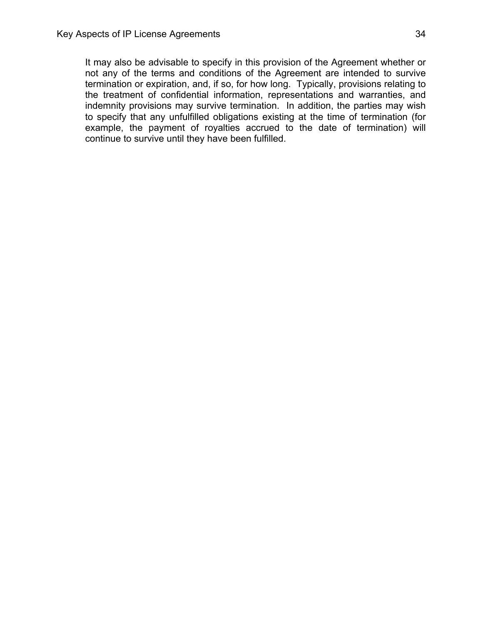It may also be advisable to specify in this provision of the Agreement whether or not any of the terms and conditions of the Agreement are intended to survive termination or expiration, and, if so, for how long. Typically, provisions relating to the treatment of confidential information, representations and warranties, and indemnity provisions may survive termination. In addition, the parties may wish to specify that any unfulfilled obligations existing at the time of termination (for example, the payment of royalties accrued to the date of termination) will continue to survive until they have been fulfilled.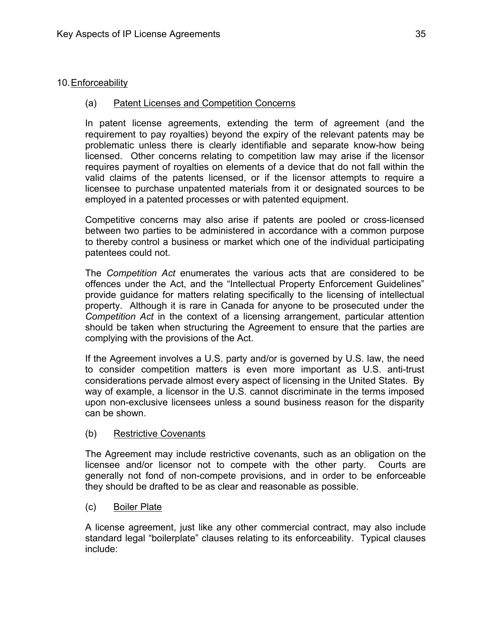## 10. Enforceability

## (a) Patent Licenses and Competition Concerns

In patent license agreements, extending the term of agreement (and the requirement to pay royalties) beyond the expiry of the relevant patents may be problematic unless there is clearly identifiable and separate know-how being licensed. Other concerns relating to competition law may arise if the licensor requires payment of royalties on elements of a device that do not fall within the valid claims of the patents licensed, or if the licensor attempts to require a licensee to purchase unpatented materials from it or designated sources to be employed in a patented processes or with patented equipment.

Competitive concerns may also arise if patents are pooled or cross-licensed between two parties to be administered in accordance with a common purpose to thereby control a business or market which one of the individual participating patentees could not.

The *Competition Act* enumerates the various acts that are considered to be offences under the Act, and the "Intellectual Property Enforcement Guidelines" provide guidance for matters relating specifically to the licensing of intellectual property. Although it is rare in Canada for anyone to be prosecuted under the *Competition Act* in the context of a licensing arrangement, particular attention should be taken when structuring the Agreement to ensure that the parties are complying with the provisions of the Act.

If the Agreement involves a U.S. party and/or is governed by U.S. law, the need to consider competition matters is even more important as U.S. anti-trust considerations pervade almost every aspect of licensing in the United States. By way of example, a licensor in the U.S. cannot discriminate in the terms imposed upon non-exclusive licensees unless a sound business reason for the disparity can be shown.

## (b) Restrictive Covenants

The Agreement may include restrictive covenants, such as an obligation on the licensee and/or licensor not to compete with the other party. Courts are generally not fond of non-compete provisions, and in order to be enforceable they should be drafted to be as clear and reasonable as possible.

(c) Boiler Plate

A license agreement, just like any other commercial contract, may also include standard legal "boilerplate" clauses relating to its enforceability. Typical clauses include: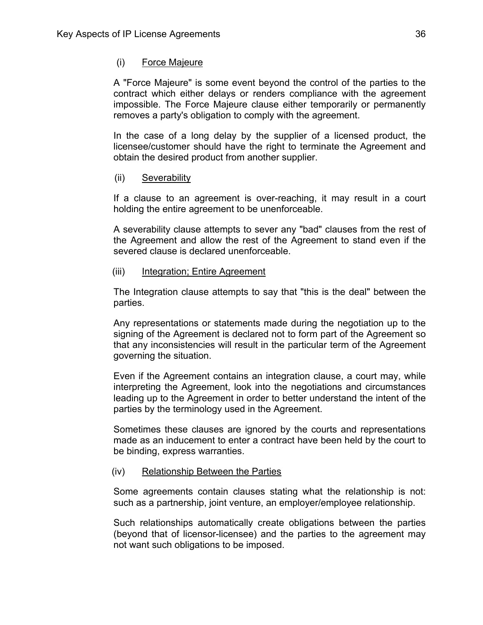#### (i) Force Majeure

A "Force Majeure" is some event beyond the control of the parties to the contract which either delays or renders compliance with the agreement impossible. The Force Majeure clause either temporarily or permanently removes a party's obligation to comply with the agreement.

In the case of a long delay by the supplier of a licensed product, the licensee/customer should have the right to terminate the Agreement and obtain the desired product from another supplier.

#### (ii) Severability

If a clause to an agreement is over-reaching, it may result in a court holding the entire agreement to be unenforceable.

A severability clause attempts to sever any "bad" clauses from the rest of the Agreement and allow the rest of the Agreement to stand even if the severed clause is declared unenforceable.

#### (iii) Integration; Entire Agreement

The Integration clause attempts to say that "this is the deal" between the parties.

Any representations or statements made during the negotiation up to the signing of the Agreement is declared not to form part of the Agreement so that any inconsistencies will result in the particular term of the Agreement governing the situation.

Even if the Agreement contains an integration clause, a court may, while interpreting the Agreement, look into the negotiations and circumstances leading up to the Agreement in order to better understand the intent of the parties by the terminology used in the Agreement.

Sometimes these clauses are ignored by the courts and representations made as an inducement to enter a contract have been held by the court to be binding, express warranties.

#### (iv) Relationship Between the Parties

Some agreements contain clauses stating what the relationship is not: such as a partnership, joint venture, an employer/employee relationship.

Such relationships automatically create obligations between the parties (beyond that of licensor-licensee) and the parties to the agreement may not want such obligations to be imposed.